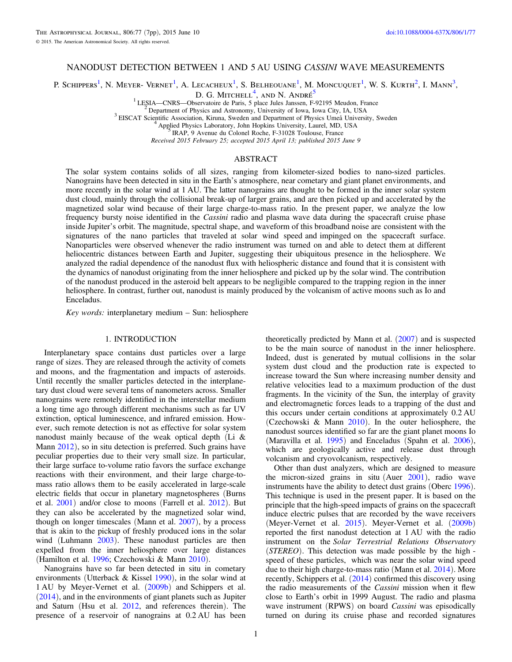# NANODUST DETECTION BETWEEN 1 AND 5 AU USING CASSINI WAVE MEASUREMENTS

P. Schippers<sup>1</sup>, N. Meyer- Vernet<sup>1</sup>, A. Lecacheux<sup>1</sup>, S. Belheouane<sup>1</sup>, M. Moncuouet<sup>1</sup>, W. S. Kurth<sup>2</sup>, I. Mann<sup>3</sup>,

D. G. Mitchell<sup>4</sup>, and N. André<sup>5</sup>

<sup>1</sup> LESIA—CNRS—Observatoire de Paris, 5 place Jules Janssen, F-92195 Meudon, France<br><sup>2</sup> Department of Physics and Astronomy, University of Iowa, Iowa City, IA, USA<br><sup>3</sup> EISCAT Scientific Association, Kiruna, Sweden and Dep

Received 2015 February 25; accepted 2015 April 13; published 2015 June 9

## ABSTRACT

The solar system contains solids of all sizes, ranging from kilometer-sized bodies to nano-sized particles. Nanograins have been detected in situ in the Earth's atmosphere, near cometary and giant planet environments, and more recently in the solar wind at 1 AU. The latter nanograins are thought to be formed in the inner solar system dust cloud, mainly through the collisional break-up of larger grains, and are then picked up and accelerated by the magnetized solar wind because of their large charge-to-mass ratio. In the present paper, we analyze the low frequency bursty noise identified in the Cassini radio and plasma wave data during the spacecraft cruise phase inside Jupiter's orbit. The magnitude, spectral shape, and waveform of this broadband noise are consistent with the signatures of the nano particles that traveled at solar wind speed and impinged on the spacecraft surface. Nanoparticles were observed whenever the radio instrument was turned on and able to detect them at different heliocentric distances between Earth and Jupiter, suggesting their ubiquitous presence in the heliosphere. We analyzed the radial dependence of the nanodust flux with heliospheric distance and found that it is consistent with the dynamics of nanodust originating from the inner heliosphere and picked up by the solar wind. The contribution of the nanodust produced in the asteroid belt appears to be negligible compared to the trapping region in the inner heliosphere. In contrast, further out, nanodust is mainly produced by the volcanism of active moons such as Io and Enceladus.

Key words: interplanetary medium – Sun: heliosphere

#### 1. INTRODUCTION

Interplanetary space contains dust particles over a large range of sizes. They are released through the activity of comets and moons, and the fragmentation and impacts of asteroids. Until recently the smaller particles detected in the interplanetary dust cloud were several tens of nanometers across. Smaller nanograins were remotely identified in the interstellar medium a long time ago through different mechanisms such as far UV extinction, optical luminescence, and infrared emission. However, such remote detection is not as effective for solar system nanodust mainly because of the weak optical depth (Li & Mann [2012](#page-6-0)), so in situ detection is preferred. Such grains have peculiar properties due to their very small size. In particular, their large surface to-volume ratio favors the surface exchange reactions with their environment, and their large charge-tomass ratio allows them to be easily accelerated in large-scale electric fields that occur in planetary magnetospheres (Burns et al. [2001](#page-6-0)) and/or close to moons (Farrell et al. [2012](#page-6-0)). But they can also be accelerated by the magnetized solar wind, though on longer timescales (Mann et al.  $2007$ ), by a process that is akin to the pickup of freshly produced ions in the solar wind (Luhmann [2003](#page-6-0)). These nanodust particles are then expelled from the inner heliosphere over large distances (Hamilton et al. [1996;](#page-6-0) Czechowski & Mann [2010](#page-6-0)).

Nanograins have so far been detected in situ in cometary environments (Utterback & Kissel [1990](#page-6-0)), in the solar wind at 1 AU by Meyer-Vernet et al. ([2009b](#page-6-0)) and Schippers et al. ([2014](#page-6-0)), and in the environments of giant planets such as Jupiter and Saturn (Hsu et al. [2012](#page-6-0), and references therein). The presence of a reservoir of nanograins at 0.2 AU has been

theoretically predicted by Mann et al. ([2007](#page-6-0)) and is suspected to be the main source of nanodust in the inner heliosphere. Indeed, dust is generated by mutual collisions in the solar system dust cloud and the production rate is expected to increase toward the Sun where increasing number density and relative velocities lead to a maximum production of the dust fragments. In the vicinity of the Sun, the interplay of gravity and electromagnetic forces leads to a trapping of the dust and this occurs under certain conditions at approximately 0.2 AU (Czechowski & Mann [2010](#page-6-0)). In the outer heliosphere, the nanodust sources identified so far are the giant planet moons Io (Maravilla et al. [1995](#page-6-0)) and Enceladus (Spahn et al. [2006](#page-6-0)), which are geologically active and release dust through volcanism and cryovolcanism, respectively.

Other than dust analyzers, which are designed to measure the micron-sized grains in situ (Auer [2001](#page-6-0)), radio wave instruments have the ability to detect dust grains (Oberc [1996](#page-6-0)). This technique is used in the present paper. It is based on the principle that the high-speed impacts of grains on the spacecraft induce electric pulses that are recorded by the wave receivers (Meyer-Vernet et al. [2015](#page-6-0)). Meyer-Vernet et al. ([2009b](#page-6-0)) reported the first nanodust detection at 1 AU with the radio instrument on the Solar Terrestrial Relations Observatory (STEREO). This detection was made possible by the high speed of these particles, which was near the solar wind speed due to their high charge-to-mass ratio (Mann et al. [2014](#page-6-0)). More recently, Schippers et al. ([2014](#page-6-0)) confirmed this discovery using the radio measurements of the Cassini mission when it flew close to Earth's orbit in 1999 August. The radio and plasma wave instrument (RPWS) on board Cassini was episodically turned on during its cruise phase and recorded signatures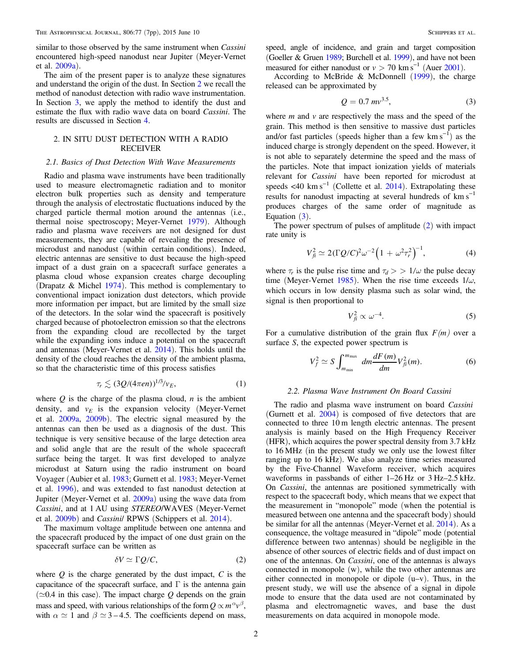<span id="page-1-0"></span>similar to those observed by the same instrument when *Cassini* encountered high-speed nanodust near Jupiter (Meyer-Vernet et al. [2009a](#page-6-0)).

The aim of the present paper is to analyze these signatures and understand the origin of the dust. In Section 2 we recall the method of nanodust detection with radio wave instrumentation. In Section [3,](#page-2-0) we apply the method to identify the dust and estimate the flux with radio wave data on board Cassini. The results are discussed in Section [4](#page-5-0).

## 2. IN SITU DUST DETECTION WITH A RADIO RECEIVER

#### 2.1. Basics of Dust Detection With Wave Measurements

Radio and plasma wave instruments have been traditionally used to measure electromagnetic radiation and to monitor electron bulk properties such as density and temperature through the analysis of electrostatic fluctuations induced by the charged particle thermal motion around the antennas (i.e., thermal noise spectroscopy; Meyer-Vernet [1979](#page-6-0)). Although radio and plasma wave receivers are not designed for dust measurements, they are capable of revealing the presence of microdust and nanodust (within certain conditions). Indeed, electric antennas are sensitive to dust because the high-speed impact of a dust grain on a spacecraft surface generates a plasma cloud whose expansion creates charge decoupling (Drapatz & Michel [1974](#page-6-0)). This method is complementary to conventional impact ionization dust detectors, which provide more information per impact, but are limited by the small size of the detectors. In the solar wind the spacecraft is positively charged because of photoelectron emission so that the electrons from the expanding cloud are recollected by the target while the expanding ions induce a potential on the spacecraft and antennas (Meyer-Vernet et al. [2014](#page-6-0)). This holds until the density of the cloud reaches the density of the ambient plasma, so that the characteristic time of this process satisfies

$$
\tau_r \lesssim (3Q/(4\pi en))^{1/3}/v_E,\tag{1}
$$

where  $Q$  is the charge of the plasma cloud,  $n$  is the ambient density, and  $v_E$  is the expansion velocity (Meyer-Vernet et al. [2009a,](#page-6-0) [2009b](#page-6-0)). The electric signal measured by the antennas can then be used as a diagnosis of the dust. This technique is very sensitive because of the large detection area and solid angle that are the result of the whole spacecraft surface being the target. It was first developed to analyze microdust at Saturn using the radio instrument on board Voyager (Aubier et al. [1983](#page-6-0); Gurnett et al. [1983](#page-6-0); Meyer-Vernet et al. [1996](#page-6-0)), and was extended to fast nanodust detection at Jupiter (Meyer-Vernet et al. [2009a](#page-6-0)) using the wave data from Cassini, and at 1 AU using STEREO/WAVES (Meyer-Vernet et al. [2009b](#page-6-0)) and Cassini/ RPWS (Schippers et al. [2014](#page-6-0)).

The maximum voltage amplitude between one antenna and the spacecraft produced by the impact of one dust grain on the spacecraft surface can be written as

$$
\delta V \simeq \Gamma Q/C,\tag{2}
$$

where  $Q$  is the charge generated by the dust impact,  $C$  is the capacitance of the spacecraft surface, and  $\Gamma$  is the antenna gain  $(\simeq 0.4$  in this case). The impact charge Q depends on the grain mass and speed, with various relationships of the form  $Q \propto m^{\alpha} v^{\beta}$ , with  $\alpha \simeq 1$  and  $\beta \simeq 3 - 4.5$ . The coefficients depend on mass, speed, angle of incidence, and grain and target composition (Goeller & Gruen [1989;](#page-6-0) Burchell et al. [1999](#page-6-0)), and have not been measured for either nanodust or  $v > 70$  km s<sup>-1</sup> (Auer [2001](#page-6-0)).

According to McBride & McDonnell ([1999](#page-6-0)), the charge released can be approximated by

$$
Q = 0.7 \, \text{mv}^{3.5},\tag{3}
$$

where  $m$  and  $v$  are respectively the mass and the speed of the grain. This method is then sensitive to massive dust particles and/or fast particles (speeds higher than a few  $km s^{-1}$ ) as the induced charge is strongly dependent on the speed. However, it is not able to separately determine the speed and the mass of the particles. Note that impact ionization yields of materials relevant for Cassini have been reported for microdust at speeds <40 km s<sup> $-1$ </sup> (Collette et al. [2014](#page-6-0)). Extrapolating these results for nanodust impacting at several hundreds of  $km s^{-1}$ produces charges of the same order of magnitude as Equation  $(3)$ .

The power spectrum of pulses of amplitude (2) with impact rate unity is

$$
V_{fi}^2 \simeq 2(\Gamma Q/C)^2 \omega^{-2} \Big( 1 + \omega^2 \tau_r^2 \Big)^{-1},\tag{4}
$$

where  $\tau_r$  is the pulse rise time and  $\tau_d$  > > 1/ $\omega$  the pulse decay time (Meyer-Vernet [1985](#page-6-0)). When the rise time exceeds  $1/\omega$ , which occurs in low density plasma such as solar wind, the signal is then proportional to

$$
V_{fi}^2 \propto \omega^{-4}.\tag{5}
$$

For a cumulative distribution of the grain flux  $F(m)$  over a surface S, the expected power spectrum is

$$
V_f^2 \simeq S \int_{m_{\min}}^{m_{\max}} dm \frac{dF(m)}{dm} V_{\tilde{f}}^2(m). \tag{6}
$$

#### 2.2. Plasma Wave Instrument On Board Cassini

The radio and plasma wave instrument on board Cassini (Gurnett et al. [2004](#page-6-0)) is composed of five detectors that are connected to three 10 m length electric antennas. The present analysis is mainly based on the High Frequency Receiver (HFR), which acquires the power spectral density from 3.7 kHz to 16 MHz (in the present study we only use the lowest filter ranging up to 16 kHz). We also analyze time series measured by the Five-Channel Waveform receiver, which acquires waveforms in passbands of either 1–26 Hz or 3 Hz–2.5 kHz. On Cassini, the antennas are positioned symmetrically with respect to the spacecraft body, which means that we expect that the measurement in "monopole" mode (when the potential is measured between one antenna and the spacecraft body) should be similar for all the antennas (Meyer-Vernet et al. [2014](#page-6-0)). As a consequence, the voltage measured in "dipole" mode (potential difference between two antennas) should be negligible in the absence of other sources of electric fields and of dust impact on one of the antennas. On Cassini, one of the antennas is always connected in monopole (w), while the two other antennas are either connected in monopole or dipole (u–v). Thus, in the present study, we will use the absence of a signal in dipole mode to ensure that the data used are not contaminated by plasma and electromagnetic waves, and base the dust measurements on data acquired in monopole mode.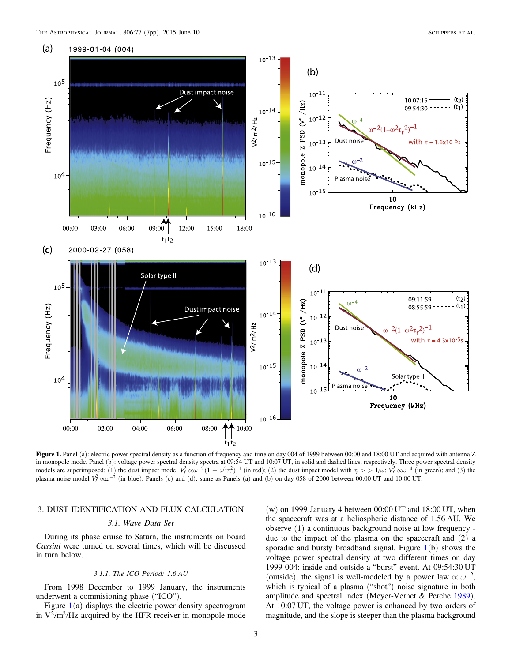<span id="page-2-0"></span>

Figure 1. Panel (a): electric power spectral density as a function of frequency and time on day 004 of 1999 between 00:00 and 18:00 UT and acquired with antenna Z in monopole mode. Panel (b): voltage power spectral density spectra at 09:54 UT and 10:07 UT, in solid and dashed lines, respectively. Three power spectral density models are superimposed: (1) the dust impact model  $V_f^2 \propto \omega^{-2} (1 + \omega^2 \tau_r^2)^{-1}$  (in red); (2) the dust impact model with  $\tau_r > 1/\omega$ :  $V_f^2 \propto \omega^{-4}$  (in green); and (3) the plasma noise model  $V_f^2 \propto \omega^{-2}$  (in blue). Panels (c) and (d): same as Panels (a) and (b) on day 058 of 2000 between 00:00 UT and 10:00 UT.

## 3. DUST IDENTIFICATION AND FLUX CALCULATION

## 3.1. Wave Data Set

During its phase cruise to Saturn, the instruments on board Cassini were turned on several times, which will be discussed in turn below.

## 3.1.1. The ICO Period: 1.6 AU

From 1998 December to 1999 January, the instruments underwent a commisioning phase ("ICO").

Figure  $1(a)$  displays the electric power density spectrogram in  $V^2/m^2/Hz$  acquired by the HFR receiver in monopole mode

 $(w)$  on 1999 January 4 between 00:00 UT and 18:00 UT, when the spacecraft was at a heliospheric distance of 1.56 AU. We observe (1) a continuous background noise at low frequency due to the impact of the plasma on the spacecraft and (2) a sporadic and bursty broadband signal. Figure  $1(b)$  shows the voltage power spectral density at two different times on day 1999-004: inside and outside a "burst" event. At 09:54:30 UT (outside), the signal is well-modeled by a power law  $\propto \omega^{-2}$ , which is typical of a plasma ("shot") noise signature in both amplitude and spectral index (Meyer-Vernet & Perche [1989](#page-6-0)). At 10:07 UT, the voltage power is enhanced by two orders of magnitude, and the slope is steeper than the plasma background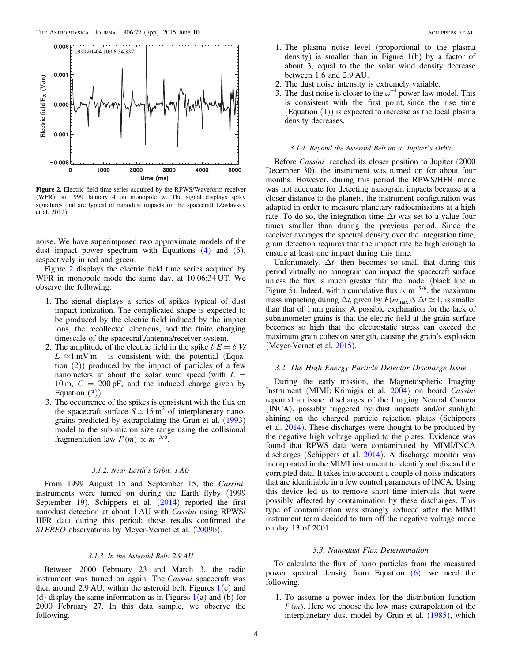<span id="page-3-0"></span>

Figure 2. Electric field time series acquired by the RPWS/Waveform receiver (WFR) on 1999 January 4 on monopole w. The signal displays spiky signatures that are typical of nanodust impacts on the spacecraft (Zaslavsky et al. [2012](#page-6-0)).

noise. We have superimposed two approximate models of the dust impact power spectrum with Equations  $(4)$  $(4)$  $(4)$  and  $(5)$  $(5)$  $(5)$ , respectively in red and green.

Figure 2 displays the electric field time series acquired by WFR in monopole mode the same day, at 10:06:34 UT. We observe the following.

- 1. The signal displays a series of spikes typical of dust impact ionization. The complicated shape is expected to be produced by the electric field induced by the impact ions, the recollected electrons, and the finite charging timescale of the spacecraft/antenna/receiver system.
- 2. The amplitude of the electric field in the spike  $\delta E = \delta V$  $L \approx 1$  mV m<sup>-1</sup> is consistent with the potential (Equation  $(2)$  $(2)$  $(2)$ ) produced by the impact of particles of a few nanometers at about the solar wind speed (with  $L =$ 10 m,  $C = 200 \text{ pF}$ , and the induced charge given by Equation  $(3)$  $(3)$  $(3)$ ).
- 3. The occurrence of the spikes is consistent with the flux on the spacecraft surface  $S \simeq 15 \text{ m}^2$  of interplanetary nanograins predicted by extrapolating the Grün et al. ([1993](#page-6-0)) model to the sub-micron size range using the collisional fragmentation law  $F(m) \propto m^{-5/6}$ .

## 3.1.2. Near Earth's Orbit: 1 AU

From 1999 August 15 and September 15, the Cassini instruments were turned on during the Earth flyby (1999 September 19). Schippers et al.  $(2014)$  $(2014)$  $(2014)$  reported the first nanodust detection at about 1 AU with Cassini using RPWS/ HFR data during this period; those results confirmed the STEREO observations by Meyer-Vernet et al. ([2009b](#page-6-0)).

## 3.1.3. In the Asteroid Belt: 2.9 AU

Between 2000 February 23 and March 3, the radio instrument was turned on again. The Cassini spacecraft was then around 2.9 AU, within the asteroid belt. Figures  $1(c)$  $1(c)$  and (d) display the same information as in Figures  $1(a)$  $1(a)$  and (b) for 2000 February 27. In this data sample, we observe the following.

- 1. The plasma noise level (proportional to the plasma density) is smaller than in Figure  $1(b)$  $1(b)$  by a factor of about 3, equal to the the solar wind density decrease between 1.6 and 2.9 AU.
- 2. The dust noise intensity is extremely variable.
- 3. The dust noise is closer to the  $\omega^{-4}$  power-law model. This is consistent with the first point, since the rise time (Equation ([1](#page-1-0))) is expected to increase as the local plasma density decreases.

#### 3.1.4. Beyond the Asteroid Belt up to Jupiter's Orbit

Before Cassini reached its closer position to Jupiter (2000 December 30), the instrument was turned on for about four months. However, during this period the RPWS/HFR mode was not adequate for detecting nanograin impacts because at a closer distance to the planets, the instrument configuration was adapted in order to measure planetary radioemissions at a high rate. To do so, the integration time  $\Delta t$  was set to a value four times smaller than during the previous period. Since the receiver averages the spectral density over the integration time, grain detection requires that the impact rate be high enough to ensure at least one impact during this time.

Unfortunately,  $\Delta t$  then becomes so small that during this period virtually no nanograin can impact the spacecraft surface unless the flux is much greater than the model (black line in Figure [5](#page-5-0)). Indeed, with a cumulative flux  $\propto$  m<sup>-5/6</sup>, the maximum mass impacting during  $\Delta t$ , given by  $F(m_{\text{max}})S \Delta t \simeq 1$ , is smaller than that of 1 nm grains. A possible explanation for the lack of subnanometer grains is that the electric field at the grain surface becomes so high that the electrostatic stress can exceed the maximum grain cohesion strength, causing the grain's explosion (Meyer-Vernet et al. [2015](#page-6-0)).

#### 3.2. The High Energy Particle Detector Discharge Issue

During the early mission, the Magnetospheric Imaging Instrument (MIMI; Krimigis et al. [2004](#page-6-0)) on board Cassini reported an issue: discharges of the Imaging Neutral Camera (INCA), possibly triggered by dust impacts and/or sunlight shining on the charged particle rejection plates (Schippers et al. [2014](#page-6-0)). These discharges were thought to be produced by the negative high voltage applied to the plates. Evidence was found that RPWS data were contaminated by MIMI/INCA discharges (Schippers et al. [2014](#page-6-0)). A discharge monitor was incorporated in the MIMI instrument to identify and discard the corrupted data. It takes into account a couple of noise indicators that are identifiable in a few control parameters of INCA. Using this device led us to remove short time intervals that were possibly affected by contamination by these discharges. This type of contamination was strongly reduced after the MIMI instrument team decided to turn off the negative voltage mode on day 13 of 2001.

#### 3.3. Nanodust Flux Determination

To calculate the flux of nano particles from the measured power spectral density from Equation  $(6)$  $(6)$  $(6)$ , we need the following.

1. To assume a power index for the distribution function  $F(m)$ . Here we choose the low mass extrapolation of the interplanetary dust model by Grün et al. ([1985](#page-6-0)), which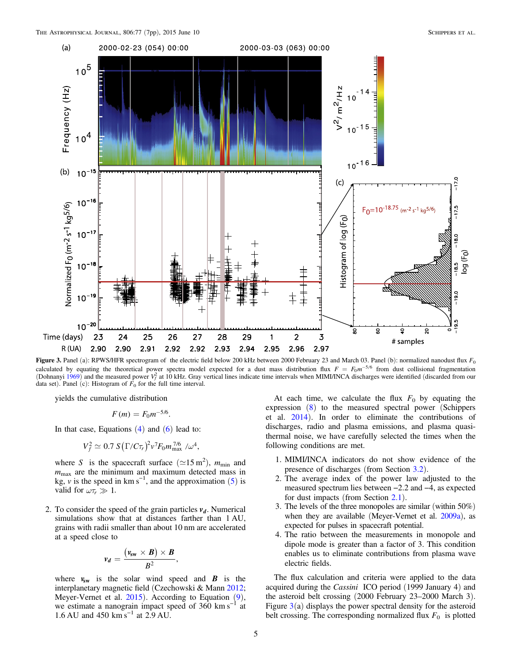<span id="page-4-0"></span>

Figure 3. Panel (a): RPWS/HFR spectrogram of the electric field below 200 kHz between 2000 February 23 and March 03. Panel (b): normalized nanodust flux  $F_0$ calculated by equating the theoretical power spectra model expected for a dust mass distribution flux  $F = F_0 m^{-5/6}$  from dust collisional fragmentation (Dohnanyi [1969](#page-6-0)) and the measured power  $V_f^2$  at 10 kHz. Gray vertical lines indicate time intervals when MIMI/INCA discharges were identified (discarded from our data set). Panel (c): Histogram of  $F_0$  for the full time interval.

yields the cumulative distribution

$$
F(m)=F_0m^{-5/6}.
$$

In that case, Equations  $(4)$  $(4)$  $(4)$  and  $(6)$  $(6)$  $(6)$  lead to:

$$
V_f^2 \simeq 0.7 S(\Gamma/C\tau_r)^2 v^7 F_0 m_{\text{max}}^{7/6}/\omega^4,
$$

where S is the spacecraft surface ( $\simeq$ 15 m<sup>2</sup>),  $m_{\text{min}}$  and  $m_{\text{max}}$  are the minimum and maximum detected mass in kg, v is the speed in  $km s^{-1}$ , and the approximation ([5](#page-1-0)) is valid for  $\omega \tau_r \gg 1$ .

2. To consider the speed of the grain particles  $v_d$ . Numerical simulations show that at distances farther than 1 AU, grains with radii smaller than about 10 nm are accelerated at a speed close to

$$
v_d = \frac{(v_{sw} \times B) \times B}{B^2},
$$

where  $v_{sw}$  is the solar wind speed and *B* is the interplanetary magnetic field (Czechowski & Mann [2012](#page-6-0); Meyer-Vernet et al. [2015](#page-6-0)). According to Equation (9), we estimate a nanograin impact speed of 360 km s<sup> $-1$ </sup> at 1.6 AU and 450 km s−<sup>1</sup> at 2.9 AU.

At each time, we calculate the flux  $F_0$  by equating the expression (8) to the measured spectral power (Schippers et al. [2014](#page-6-0)). In order to eliminate the contributions of discharges, radio and plasma emissions, and plasma quasithermal noise, we have carefully selected the times when the following conditions are met.

- 1. MIMI/INCA indicators do not show evidence of the presence of discharges (from Section [3.2](#page-3-0)).
- 2. The average index of the power law adjusted to the measured spectrum lies between −2.2 and −4, as expected for dust impacts (from Section [2.1](#page-1-0)).
- 3. The levels of the three monopoles are similar (within 50%) when they are available (Meyer-Vernet et al. [2009a](#page-6-0)), as expected for pulses in spacecraft potential.
- 4. The ratio between the measurements in monopole and dipole mode is greater than a factor of 3. This condition enables us to eliminate contributions from plasma wave electric fields.

The flux calculation and criteria were applied to the data acquired during the Cassini ICO period (1999 January 4) and the asteroid belt crossing (2000 February 23–2000 March 3). Figure  $3(a)$  displays the power spectral density for the asteroid belt crossing. The corresponding normalized flux  $F_0$  is plotted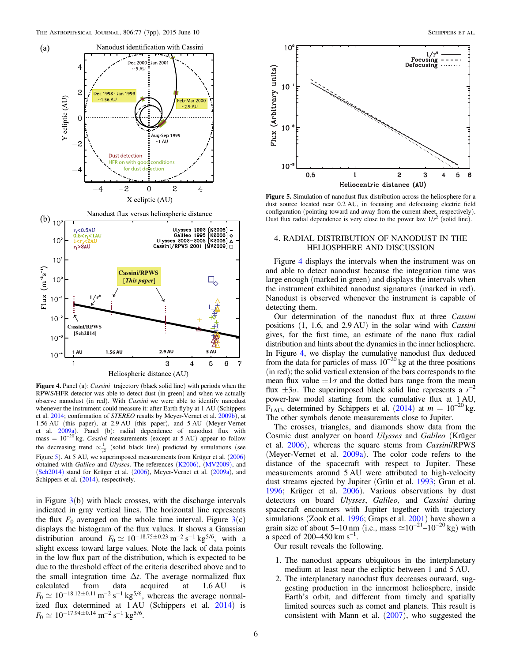<span id="page-5-0"></span>

Figure 4. Panel (a): *Cassini* trajectory (black solid line) with periods when the RPWS/HFR detector was able to detect dust (in green) and when we actually observe nanodust (in red). With Cassini we were able to identify nanodust whenever the instrument could measure it: after Earth flyby at 1 AU (Schippers et al. [2014;](#page-6-0) confirmation of STEREO results by Meyer-Vernet et al. [2009b](#page-6-0)), at 1.56 AU (this paper), at 2.9 AU (this paper), and 5 AU (Meyer-Vernet et al. [2009a](#page-6-0)). Panel (b): radial dependence of nanodust flux with mass =  $10^{-20}$  kg. *Cassini* measurements (except at 5 AU) appear to follow the decreasing trend  $\propto \frac{1}{r^2}$  (solid black line) predicted by simulations (see Figure 5). At 5 AU, we superimposed measurements from Krüger et al. ([2006](#page-6-0)) obtained with Galileo and Ulysses. The references ([K2006](#page-6-0)), ([MV2009](#page-6-0)), and ([Sch2014](#page-6-0)) stand for Krüger et al. ([2006](#page-6-0)), Meyer-Vernet et al. ([2009a](#page-6-0)), and Schippers et al.  $(2014)$  $(2014)$  $(2014)$ , respectively.

in Figure  $3(b)$  $3(b)$  with black crosses, with the discharge intervals indicated in gray vertical lines. The horizontal line represents the flux  $F_0$  averaged on the whole time interval. Figure  $3(c)$  $3(c)$ displays the histogram of the flux values. It shows a Gaussian distribution around  $F_0 \simeq 10^{-18.75 \pm 0.23} \text{ m}^{-2} \text{ s}^{-1} \text{ kg}^{5/6}$ , with a slight excess toward large values. Note the lack of data points in the low flux part of the distribution, which is expected to be due to the threshold effect of the criteria described above and to the small integration time  $\Delta t$ . The average normalized flux calculated from data acquired at 1.6 AU is  $F_0 \simeq 10^{-18.12 \pm 0.11} \,\mathrm{m}^{-2} \,\mathrm{s}^{-1} \,\mathrm{kg}^{5/6}$ , whereas the average normal-ized flux determined at 1 AU (Schippers et al. [2014](#page-6-0)) is  $F_0 \simeq 10^{-17.94 \pm 0.14}$  m<sup>-2</sup> s<sup>-1</sup> kg<sup>5/6</sup>.



Figure 5. Simulation of nanodust flux distribution across the heliosphere for a dust source located near 0.2 AU, in focusing and defocusing electric field configuration (pointing toward and away from the current sheet, respectively). Dust flux radial dependence is very close to the power law  $1/r^2$  (solid line).

## 4. RADIAL DISTRIBUTION OF NANODUST IN THE HELIOSPHERE AND DISCUSSION

Figure 4 displays the intervals when the instrument was on and able to detect nanodust because the integration time was large enough (marked in green) and displays the intervals when the instrument exhibited nanodust signatures (marked in red). Nanodust is observed whenever the instrument is capable of detecting them.

Our determination of the nanodust flux at three Cassini positions (1, 1.6, and 2.9 AU) in the solar wind with Cassini gives, for the first time, an estimate of the nano flux radial distribution and hints about the dynamics in the inner heliosphere. In Figure 4, we display the cumulative nanodust flux deduced from the data for particles of mass  $10^{-20}$  kg at the three positions (in red); the solid vertical extension of the bars corresponds to the mean flux value  $\pm 1\sigma$  and the dotted bars range from the mean flux  $\pm 3\sigma$ . The superimposed black solid line represents a  $r^{-2}$ power-law model starting from the cumulative flux at 1 AU, F<sub>1AU</sub>, determined by Schippers et al. ([2014](#page-6-0)) at  $m = 10^{-20}$  kg. The other symbols denote measurements close to Jupiter.

The crosses, triangles, and diamonds show data from the Cosmic dust analyzer on board Ulysses and Galileo (Krüger et al. [2006](#page-6-0)), whereas the square stems from Cassini/RPWS (Meyer-Vernet et al. [2009a](#page-6-0)). The color code refers to the distance of the spacecraft with respect to Jupiter. These measurements around 5 AU were attributed to high-velocity dust streams ejected by Jupiter (Grün et al. [1993;](#page-6-0) Grun et al. [1996;](#page-6-0) Krüger et al. [2006](#page-6-0)). Various observations by dust detectors on board Ulysses, Galileo, and Cassini during spacecraft encounters with Jupiter together with trajectory simulations (Zook et al. [1996](#page-6-0); Graps et al. [2001](#page-6-0)) have shown a grain size of about 5–10 nm (i.e., mass  $\simeq 10^{-21}$ –10<sup>-20</sup> kg) with  $\frac{6}{a}$  speed of 200–450 km s<sup>-1</sup>.

Our result reveals the following.

- 1. The nanodust appears ubiquitous in the interplanetary medium at least near the ecliptic between 1 and 5 AU.
- 2. The interplanetary nanodust flux decreases outward, suggesting production in the innermost heliosphere, inside Earth's orbit, and different from timely and spatially limited sources such as comet and planets. This result is consistent with Mann et al. ([2007](#page-6-0)), who suggested the